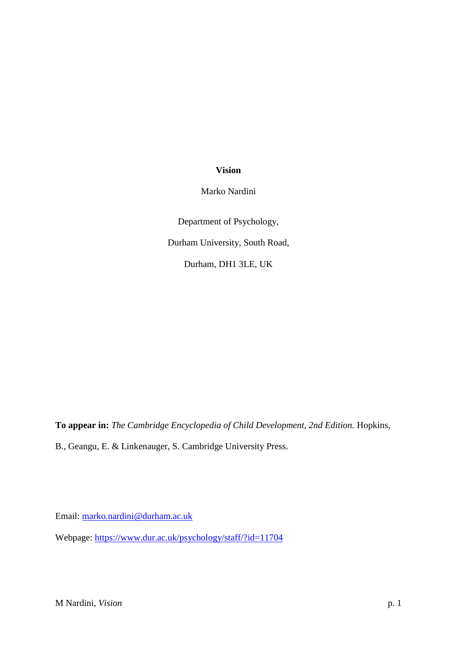# **Vision**

Marko Nardini

Department of Psychology, Durham University, South Road, Durham, DH1 3LE, UK

**To appear in:** *The Cambridge Encyclopedia of Child Development, 2nd Edition.* Hopkins,

B., Geangu, E. & Linkenauger, S. Cambridge University Press.

Email: [marko.nardini@durham.ac.uk](mailto:marko.nardini@durham.ac.uk)

Webpage:<https://www.dur.ac.uk/psychology/staff/?id=11704>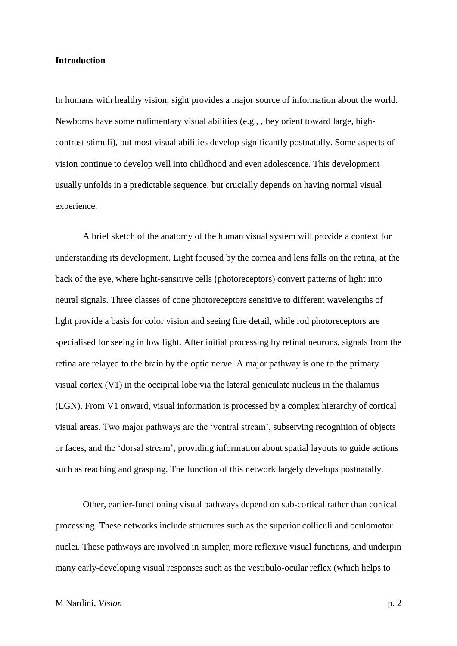#### **Introduction**

In humans with healthy vision, sight provides a major source of information about the world. Newborns have some rudimentary visual abilities (e.g., ,they orient toward large, highcontrast stimuli), but most visual abilities develop significantly postnatally. Some aspects of vision continue to develop well into childhood and even adolescence. This development usually unfolds in a predictable sequence, but crucially depends on having normal visual experience.

A brief sketch of the anatomy of the human visual system will provide a context for understanding its development. Light focused by the cornea and lens falls on the retina, at the back of the eye, where light-sensitive cells (photoreceptors) convert patterns of light into neural signals. Three classes of cone photoreceptors sensitive to different wavelengths of light provide a basis for color vision and seeing fine detail, while rod photoreceptors are specialised for seeing in low light. After initial processing by retinal neurons, signals from the retina are relayed to the brain by the optic nerve. A major pathway is one to the primary visual cortex (V1) in the occipital lobe via the lateral geniculate nucleus in the thalamus (LGN). From V1 onward, visual information is processed by a complex hierarchy of cortical visual areas. Two major pathways are the 'ventral stream', subserving recognition of objects or faces, and the 'dorsal stream', providing information about spatial layouts to guide actions such as reaching and grasping. The function of this network largely develops postnatally.

Other, earlier-functioning visual pathways depend on sub-cortical rather than cortical processing. These networks include structures such as the superior colliculi and oculomotor nuclei. These pathways are involved in simpler, more reflexive visual functions, and underpin many early-developing visual responses such as the vestibulo-ocular reflex (which helps to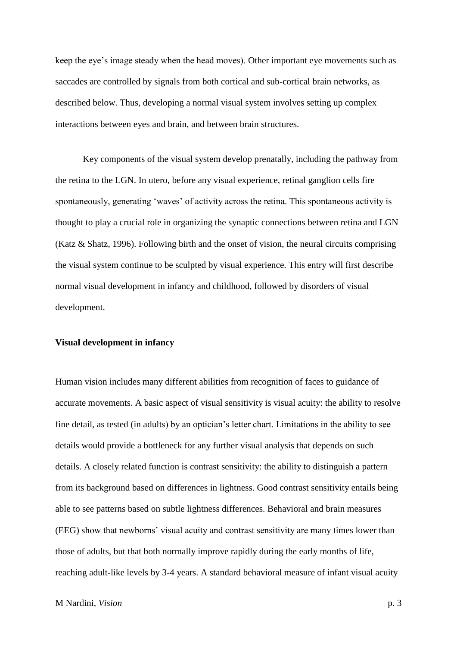keep the eye's image steady when the head moves). Other important eye movements such as saccades are controlled by signals from both cortical and sub-cortical brain networks, as described below. Thus, developing a normal visual system involves setting up complex interactions between eyes and brain, and between brain structures.

Key components of the visual system develop prenatally, including the pathway from the retina to the LGN. In utero, before any visual experience, retinal ganglion cells fire spontaneously, generating 'waves' of activity across the retina. This spontaneous activity is thought to play a crucial role in organizing the synaptic connections between retina and LGN (Katz & Shatz, 1996). Following birth and the onset of vision, the neural circuits comprising the visual system continue to be sculpted by visual experience. This entry will first describe normal visual development in infancy and childhood, followed by disorders of visual development.

#### **Visual development in infancy**

Human vision includes many different abilities from recognition of faces to guidance of accurate movements. A basic aspect of visual sensitivity is visual acuity: the ability to resolve fine detail, as tested (in adults) by an optician's letter chart. Limitations in the ability to see details would provide a bottleneck for any further visual analysis that depends on such details. A closely related function is contrast sensitivity: the ability to distinguish a pattern from its background based on differences in lightness. Good contrast sensitivity entails being able to see patterns based on subtle lightness differences. Behavioral and brain measures (EEG) show that newborns' visual acuity and contrast sensitivity are many times lower than those of adults, but that both normally improve rapidly during the early months of life, reaching adult-like levels by 3-4 years. A standard behavioral measure of infant visual acuity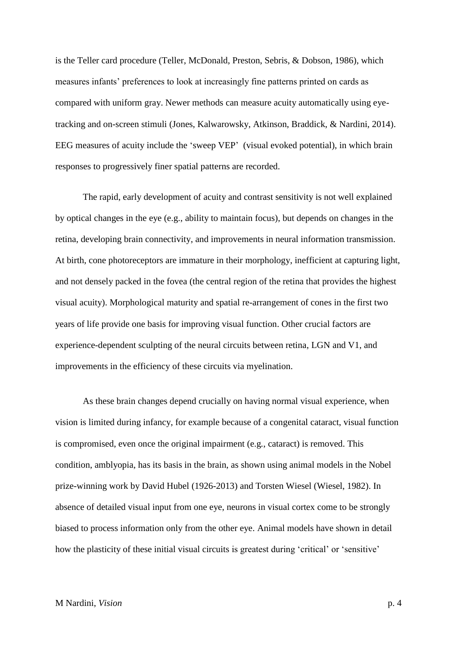is the Teller card procedure (Teller, McDonald, Preston, Sebris, & Dobson, 1986), which measures infants' preferences to look at increasingly fine patterns printed on cards as compared with uniform gray. Newer methods can measure acuity automatically using eyetracking and on-screen stimuli (Jones, Kalwarowsky, Atkinson, Braddick, & Nardini, 2014). EEG measures of acuity include the 'sweep VEP' (visual evoked potential), in which brain responses to progressively finer spatial patterns are recorded.

The rapid, early development of acuity and contrast sensitivity is not well explained by optical changes in the eye (e.g., ability to maintain focus), but depends on changes in the retina, developing brain connectivity, and improvements in neural information transmission. At birth, cone photoreceptors are immature in their morphology, inefficient at capturing light, and not densely packed in the fovea (the central region of the retina that provides the highest visual acuity). Morphological maturity and spatial re-arrangement of cones in the first two years of life provide one basis for improving visual function. Other crucial factors are experience-dependent sculpting of the neural circuits between retina, LGN and V1, and improvements in the efficiency of these circuits via myelination.

As these brain changes depend crucially on having normal visual experience, when vision is limited during infancy, for example because of a congenital cataract, visual function is compromised, even once the original impairment (e.g*.*, cataract) is removed. This condition, amblyopia, has its basis in the brain, as shown using animal models in the Nobel prize-winning work by David Hubel (1926-2013) and Torsten Wiesel (Wiesel, 1982). In absence of detailed visual input from one eye, neurons in visual cortex come to be strongly biased to process information only from the other eye. Animal models have shown in detail how the plasticity of these initial visual circuits is greatest during 'critical' or 'sensitive'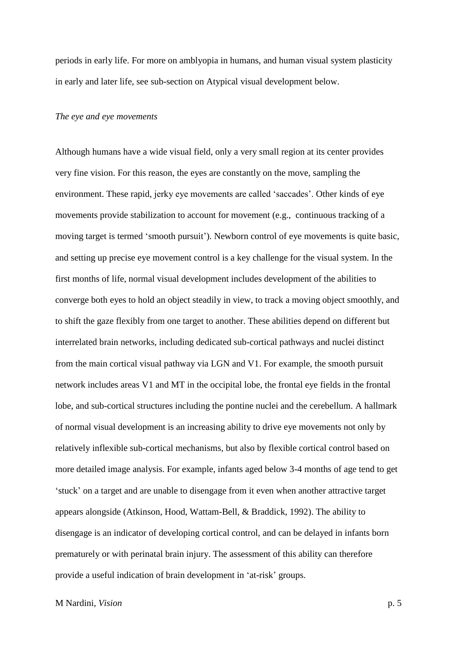periods in early life. For more on amblyopia in humans, and human visual system plasticity in early and later life, see sub-section on Atypical visual development below.

### *The eye and eye movements*

Although humans have a wide visual field, only a very small region at its center provides very fine vision. For this reason, the eyes are constantly on the move, sampling the environment. These rapid, jerky eye movements are called 'saccades'. Other kinds of eye movements provide stabilization to account for movement (e.g., continuous tracking of a moving target is termed 'smooth pursuit'). Newborn control of eye movements is quite basic, and setting up precise eye movement control is a key challenge for the visual system. In the first months of life, normal visual development includes development of the abilities to converge both eyes to hold an object steadily in view, to track a moving object smoothly, and to shift the gaze flexibly from one target to another. These abilities depend on different but interrelated brain networks, including dedicated sub-cortical pathways and nuclei distinct from the main cortical visual pathway via LGN and V1. For example, the smooth pursuit network includes areas V1 and MT in the occipital lobe, the frontal eye fields in the frontal lobe, and sub-cortical structures including the pontine nuclei and the cerebellum. A hallmark of normal visual development is an increasing ability to drive eye movements not only by relatively inflexible sub-cortical mechanisms, but also by flexible cortical control based on more detailed image analysis. For example, infants aged below 3-4 months of age tend to get 'stuck' on a target and are unable to disengage from it even when another attractive target appears alongside (Atkinson, Hood, Wattam-Bell, & Braddick, 1992). The ability to disengage is an indicator of developing cortical control, and can be delayed in infants born prematurely or with perinatal brain injury. The assessment of this ability can therefore provide a useful indication of brain development in 'at-risk' groups.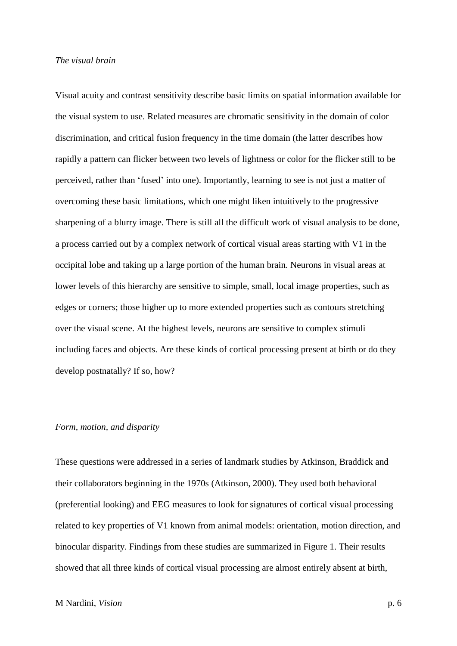#### *The visual brain*

Visual acuity and contrast sensitivity describe basic limits on spatial information available for the visual system to use. Related measures are chromatic sensitivity in the domain of color discrimination, and critical fusion frequency in the time domain (the latter describes how rapidly a pattern can flicker between two levels of lightness or color for the flicker still to be perceived, rather than 'fused' into one). Importantly, learning to see is not just a matter of overcoming these basic limitations, which one might liken intuitively to the progressive sharpening of a blurry image. There is still all the difficult work of visual analysis to be done, a process carried out by a complex network of cortical visual areas starting with V1 in the occipital lobe and taking up a large portion of the human brain. Neurons in visual areas at lower levels of this hierarchy are sensitive to simple, small, local image properties, such as edges or corners; those higher up to more extended properties such as contours stretching over the visual scene. At the highest levels, neurons are sensitive to complex stimuli including faces and objects. Are these kinds of cortical processing present at birth or do they develop postnatally? If so, how?

# *Form, motion, and disparity*

These questions were addressed in a series of landmark studies by Atkinson, Braddick and their collaborators beginning in the 1970s (Atkinson, 2000). They used both behavioral (preferential looking) and EEG measures to look for signatures of cortical visual processing related to key properties of V1 known from animal models: orientation, motion direction, and binocular disparity. Findings from these studies are summarized in Figure 1. Their results showed that all three kinds of cortical visual processing are almost entirely absent at birth,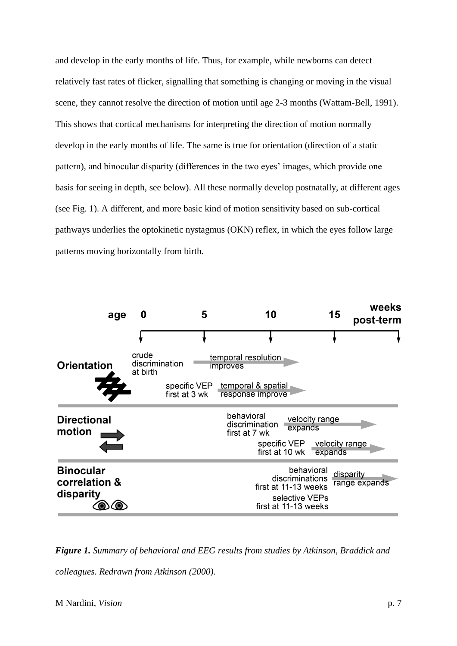and develop in the early months of life. Thus, for example, while newborns can detect relatively fast rates of flicker, signalling that something is changing or moving in the visual scene, they cannot resolve the direction of motion until age 2-3 months (Wattam-Bell, 1991). This shows that cortical mechanisms for interpreting the direction of motion normally develop in the early months of life. The same is true for orientation (direction of a static pattern), and binocular disparity (differences in the two eyes' images, which provide one basis for seeing in depth, see below). All these normally develop postnatally, at different ages (see Fig. 1). A different, and more basic kind of motion sensitivity based on sub-cortical pathways underlies the optokinetic nystagmus (OKN) reflex, in which the eyes follow large patterns moving horizontally from birth.



*Figure 1. Summary of behavioral and EEG results from studies by Atkinson, Braddick and* 

*colleagues. Redrawn from Atkinson (2000).*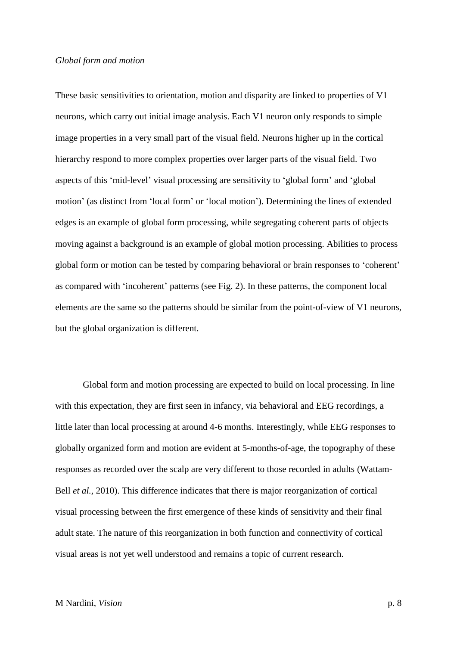### *Global form and motion*

These basic sensitivities to orientation, motion and disparity are linked to properties of V1 neurons, which carry out initial image analysis. Each V1 neuron only responds to simple image properties in a very small part of the visual field. Neurons higher up in the cortical hierarchy respond to more complex properties over larger parts of the visual field. Two aspects of this 'mid-level' visual processing are sensitivity to 'global form' and 'global motion' (as distinct from 'local form' or 'local motion'). Determining the lines of extended edges is an example of global form processing, while segregating coherent parts of objects moving against a background is an example of global motion processing. Abilities to process global form or motion can be tested by comparing behavioral or brain responses to 'coherent' as compared with 'incoherent' patterns (see Fig. 2). In these patterns, the component local elements are the same so the patterns should be similar from the point-of-view of V1 neurons, but the global organization is different.

Global form and motion processing are expected to build on local processing. In line with this expectation, they are first seen in infancy, via behavioral and EEG recordings, a little later than local processing at around 4-6 months. Interestingly, while EEG responses to globally organized form and motion are evident at 5-months-of-age, the topography of these responses as recorded over the scalp are very different to those recorded in adults (Wattam-Bell *et al.*, 2010). This difference indicates that there is major reorganization of cortical visual processing between the first emergence of these kinds of sensitivity and their final adult state. The nature of this reorganization in both function and connectivity of cortical visual areas is not yet well understood and remains a topic of current research.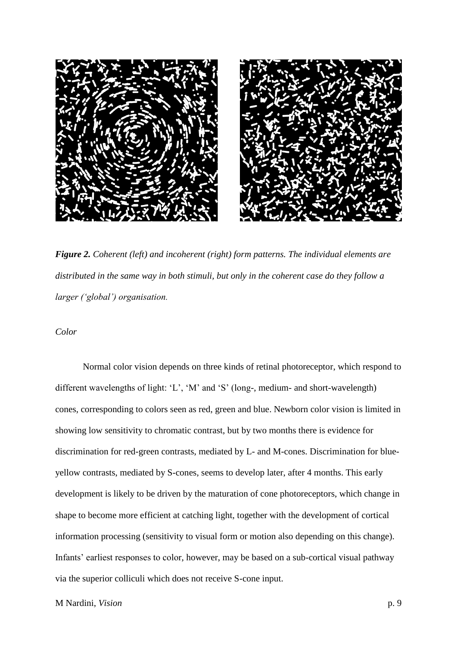

*Figure 2. Coherent (left) and incoherent (right) form patterns. The individual elements are distributed in the same way in both stimuli, but only in the coherent case do they follow a larger ('global') organisation.* 

*Color* 

Normal color vision depends on three kinds of retinal photoreceptor, which respond to different wavelengths of light: 'L', 'M' and 'S' (long-, medium- and short-wavelength) cones, corresponding to colors seen as red, green and blue. Newborn color vision is limited in showing low sensitivity to chromatic contrast, but by two months there is evidence for discrimination for red-green contrasts, mediated by L- and M-cones. Discrimination for blueyellow contrasts, mediated by S-cones, seems to develop later, after 4 months. This early development is likely to be driven by the maturation of cone photoreceptors, which change in shape to become more efficient at catching light, together with the development of cortical information processing (sensitivity to visual form or motion also depending on this change). Infants' earliest responses to color, however, may be based on a sub-cortical visual pathway via the superior colliculi which does not receive S-cone input.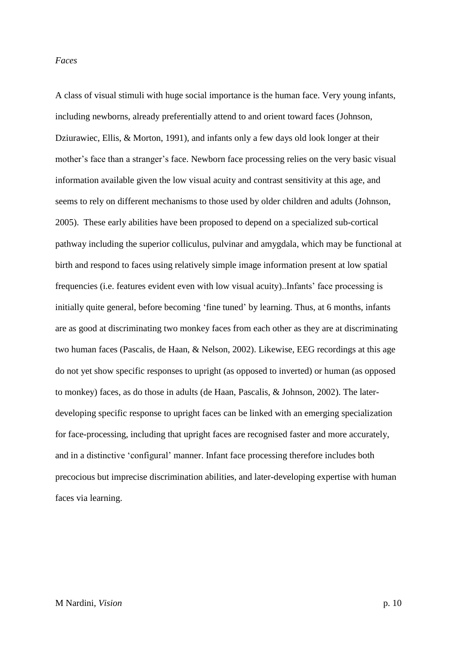#### *Faces*

A class of visual stimuli with huge social importance is the human face. Very young infants, including newborns, already preferentially attend to and orient toward faces (Johnson, Dziurawiec, Ellis, & Morton, 1991), and infants only a few days old look longer at their mother's face than a stranger's face. Newborn face processing relies on the very basic visual information available given the low visual acuity and contrast sensitivity at this age, and seems to rely on different mechanisms to those used by older children and adults (Johnson, 2005). These early abilities have been proposed to depend on a specialized sub-cortical pathway including the superior colliculus, pulvinar and amygdala, which may be functional at birth and respond to faces using relatively simple image information present at low spatial frequencies (i.e. features evident even with low visual acuity)..Infants' face processing is initially quite general, before becoming 'fine tuned' by learning. Thus, at 6 months, infants are as good at discriminating two monkey faces from each other as they are at discriminating two human faces (Pascalis, de Haan, & Nelson, 2002). Likewise, EEG recordings at this age do not yet show specific responses to upright (as opposed to inverted) or human (as opposed to monkey) faces, as do those in adults (de Haan, Pascalis, & Johnson, 2002). The laterdeveloping specific response to upright faces can be linked with an emerging specialization for face-processing, including that upright faces are recognised faster and more accurately, and in a distinctive 'configural' manner. Infant face processing therefore includes both precocious but imprecise discrimination abilities, and later-developing expertise with human faces via learning.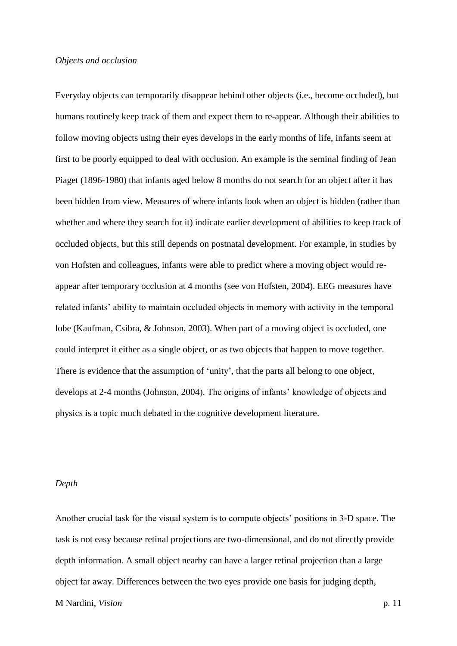# *Objects and occlusion*

Everyday objects can temporarily disappear behind other objects (i.e., become occluded), but humans routinely keep track of them and expect them to re-appear. Although their abilities to follow moving objects using their eyes develops in the early months of life, infants seem at first to be poorly equipped to deal with occlusion. An example is the seminal finding of Jean Piaget (1896-1980) that infants aged below 8 months do not search for an object after it has been hidden from view. Measures of where infants look when an object is hidden (rather than whether and where they search for it) indicate earlier development of abilities to keep track of occluded objects, but this still depends on postnatal development. For example, in studies by von Hofsten and colleagues, infants were able to predict where a moving object would reappear after temporary occlusion at 4 months (see von Hofsten, 2004). EEG measures have related infants' ability to maintain occluded objects in memory with activity in the temporal lobe (Kaufman, Csibra, & Johnson, 2003). When part of a moving object is occluded, one could interpret it either as a single object, or as two objects that happen to move together. There is evidence that the assumption of 'unity', that the parts all belong to one object, develops at 2-4 months (Johnson, 2004). The origins of infants' knowledge of objects and physics is a topic much debated in the cognitive development literature.

# *Depth*

Another crucial task for the visual system is to compute objects' positions in 3-D space. The task is not easy because retinal projections are two-dimensional, and do not directly provide depth information. A small object nearby can have a larger retinal projection than a large object far away. Differences between the two eyes provide one basis for judging depth,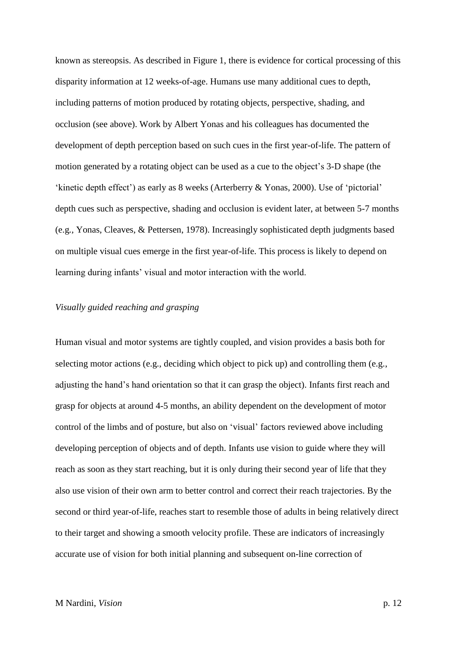known as stereopsis. As described in Figure 1, there is evidence for cortical processing of this disparity information at 12 weeks-of-age. Humans use many additional cues to depth, including patterns of motion produced by rotating objects, perspective, shading, and occlusion (see above). Work by Albert Yonas and his colleagues has documented the development of depth perception based on such cues in the first year-of-life. The pattern of motion generated by a rotating object can be used as a cue to the object's 3-D shape (the 'kinetic depth effect') as early as 8 weeks (Arterberry & Yonas, 2000). Use of 'pictorial' depth cues such as perspective, shading and occlusion is evident later, at between 5-7 months (e.g*.,* Yonas, Cleaves, & Pettersen, 1978). Increasingly sophisticated depth judgments based on multiple visual cues emerge in the first year-of-life. This process is likely to depend on learning during infants' visual and motor interaction with the world.

# *Visually guided reaching and grasping*

Human visual and motor systems are tightly coupled, and vision provides a basis both for selecting motor actions (e.g., deciding which object to pick up) and controlling them (e.g., adjusting the hand's hand orientation so that it can grasp the object). Infants first reach and grasp for objects at around 4-5 months, an ability dependent on the development of motor control of the limbs and of posture, but also on 'visual' factors reviewed above including developing perception of objects and of depth. Infants use vision to guide where they will reach as soon as they start reaching, but it is only during their second year of life that they also use vision of their own arm to better control and correct their reach trajectories. By the second or third year-of-life, reaches start to resemble those of adults in being relatively direct to their target and showing a smooth velocity profile. These are indicators of increasingly accurate use of vision for both initial planning and subsequent on-line correction of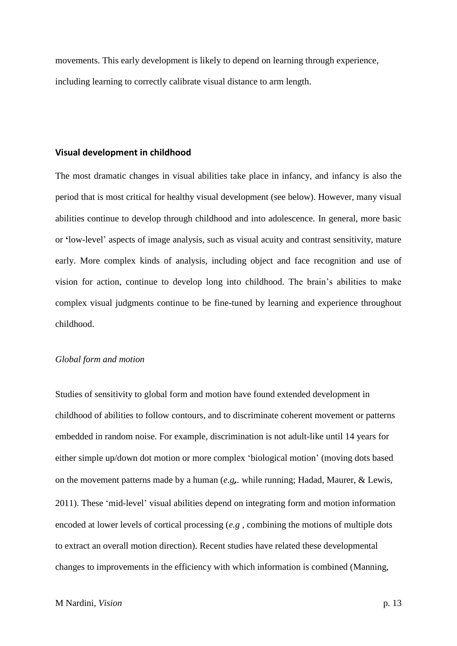movements. This early development is likely to depend on learning through experience, including learning to correctly calibrate visual distance to arm length.

#### **Visual development in childhood**

The most dramatic changes in visual abilities take place in infancy, and infancy is also the period that is most critical for healthy visual development (see below). However, many visual abilities continue to develop through childhood and into adolescence. In general, more basic or **'**low-level' aspects of image analysis, such as visual acuity and contrast sensitivity, mature early. More complex kinds of analysis, including object and face recognition and use of vision for action, continue to develop long into childhood. The brain's abilities to make complex visual judgments continue to be fine-tuned by learning and experience throughout childhood.

# *Global form and motion*

Studies of sensitivity to global form and motion have found extended development in childhood of abilities to follow contours, and to discriminate coherent movement or patterns embedded in random noise. For example, discrimination is not adult-like until 14 years for either simple up/down dot motion or more complex 'biological motion' (moving dots based on the movement patterns made by a human (*e.g,.* while running; Hadad, Maurer, & Lewis, 2011). These 'mid-level' visual abilities depend on integrating form and motion information encoded at lower levels of cortical processing (*e.g* , combining the motions of multiple dots to extract an overall motion direction). Recent studies have related these developmental changes to improvements in the efficiency with which information is combined (Manning,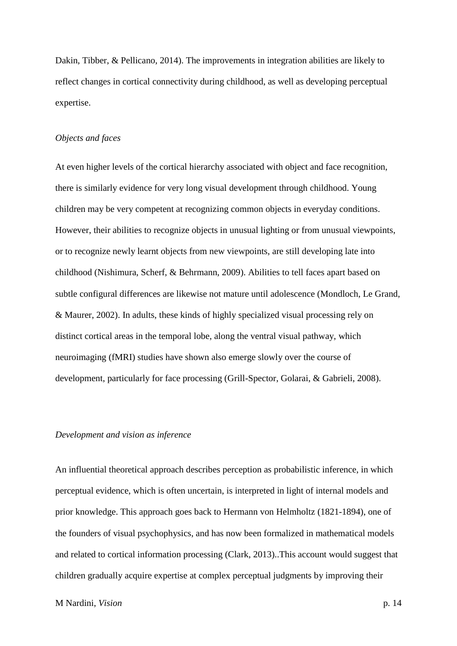Dakin, Tibber, & Pellicano, 2014). The improvements in integration abilities are likely to reflect changes in cortical connectivity during childhood, as well as developing perceptual expertise.

### *Objects and faces*

At even higher levels of the cortical hierarchy associated with object and face recognition, there is similarly evidence for very long visual development through childhood. Young children may be very competent at recognizing common objects in everyday conditions. However, their abilities to recognize objects in unusual lighting or from unusual viewpoints, or to recognize newly learnt objects from new viewpoints, are still developing late into childhood (Nishimura, Scherf, & Behrmann, 2009). Abilities to tell faces apart based on subtle configural differences are likewise not mature until adolescence (Mondloch, Le Grand, & Maurer, 2002). In adults, these kinds of highly specialized visual processing rely on distinct cortical areas in the temporal lobe, along the ventral visual pathway, which neuroimaging (fMRI) studies have shown also emerge slowly over the course of development, particularly for face processing (Grill-Spector, Golarai, & Gabrieli, 2008).

### *Development and vision as inference*

An influential theoretical approach describes perception as probabilistic inference, in which perceptual evidence, which is often uncertain, is interpreted in light of internal models and prior knowledge. This approach goes back to Hermann von Helmholtz (1821-1894), one of the founders of visual psychophysics, and has now been formalized in mathematical models and related to cortical information processing (Clark, 2013)..This account would suggest that children gradually acquire expertise at complex perceptual judgments by improving their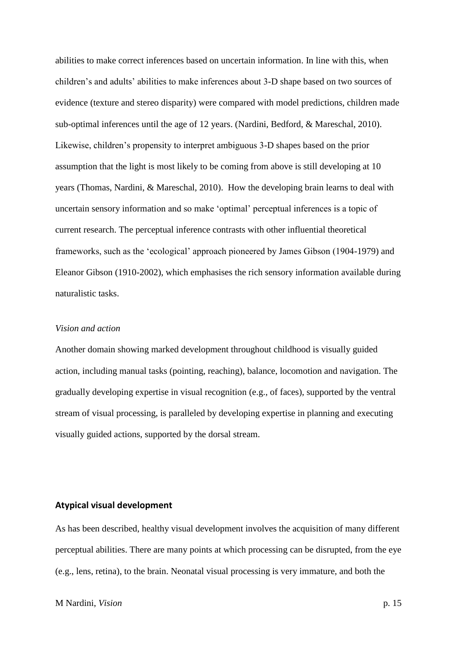abilities to make correct inferences based on uncertain information. In line with this, when children's and adults' abilities to make inferences about 3-D shape based on two sources of evidence (texture and stereo disparity) were compared with model predictions, children made sub-optimal inferences until the age of 12 years. (Nardini, Bedford, & Mareschal, 2010). Likewise, children's propensity to interpret ambiguous 3-D shapes based on the prior assumption that the light is most likely to be coming from above is still developing at 10 years (Thomas, Nardini, & Mareschal, 2010). How the developing brain learns to deal with uncertain sensory information and so make 'optimal' perceptual inferences is a topic of current research. The perceptual inference contrasts with other influential theoretical frameworks, such as the 'ecological' approach pioneered by James Gibson (1904-1979) and Eleanor Gibson (1910-2002), which emphasises the rich sensory information available during naturalistic tasks.

## *Vision and action*

Another domain showing marked development throughout childhood is visually guided action, including manual tasks (pointing, reaching), balance, locomotion and navigation. The gradually developing expertise in visual recognition (e.g., of faces), supported by the ventral stream of visual processing, is paralleled by developing expertise in planning and executing visually guided actions, supported by the dorsal stream.

# **Atypical visual development**

As has been described, healthy visual development involves the acquisition of many different perceptual abilities. There are many points at which processing can be disrupted, from the eye (e.g., lens, retina), to the brain. Neonatal visual processing is very immature, and both the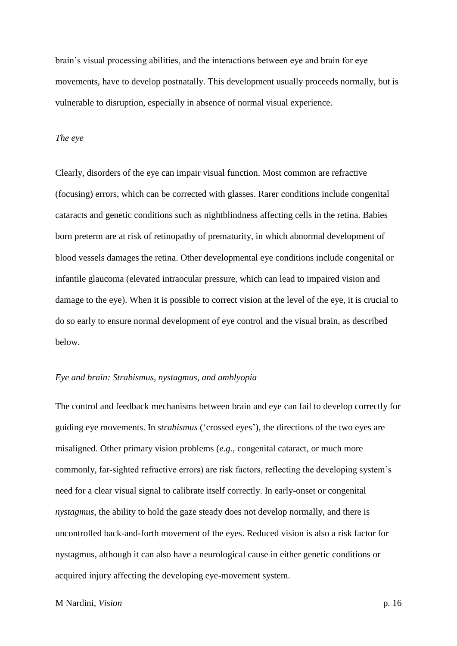brain's visual processing abilities, and the interactions between eye and brain for eye movements, have to develop postnatally. This development usually proceeds normally, but is vulnerable to disruption, especially in absence of normal visual experience.

### *The eye*

Clearly, disorders of the eye can impair visual function. Most common are refractive (focusing) errors, which can be corrected with glasses. Rarer conditions include congenital cataracts and genetic conditions such as nightblindness affecting cells in the retina. Babies born preterm are at risk of retinopathy of prematurity, in which abnormal development of blood vessels damages the retina. Other developmental eye conditions include congenital or infantile glaucoma (elevated intraocular pressure, which can lead to impaired vision and damage to the eye). When it is possible to correct vision at the level of the eye, it is crucial to do so early to ensure normal development of eye control and the visual brain, as described below.

## *Eye and brain: Strabismus, nystagmus, and amblyopia*

The control and feedback mechanisms between brain and eye can fail to develop correctly for guiding eye movements. In *strabismus* ('crossed eyes'), the directions of the two eyes are misaligned. Other primary vision problems (*e.g.,* congenital cataract, or much more commonly, far-sighted refractive errors) are risk factors, reflecting the developing system's need for a clear visual signal to calibrate itself correctly. In early-onset or congenital *nystagmus*, the ability to hold the gaze steady does not develop normally, and there is uncontrolled back-and-forth movement of the eyes. Reduced vision is also a risk factor for nystagmus, although it can also have a neurological cause in either genetic conditions or acquired injury affecting the developing eye-movement system.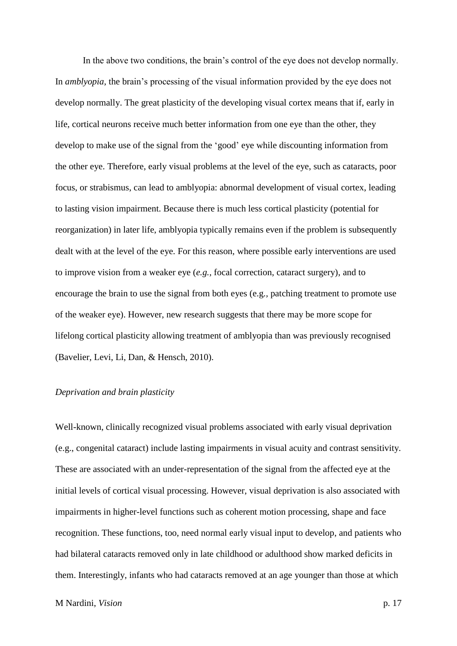In the above two conditions, the brain's control of the eye does not develop normally. In *amblyopia*, the brain's processing of the visual information provided by the eye does not develop normally. The great plasticity of the developing visual cortex means that if, early in life, cortical neurons receive much better information from one eye than the other, they develop to make use of the signal from the 'good' eye while discounting information from the other eye. Therefore, early visual problems at the level of the eye, such as cataracts, poor focus, or strabismus, can lead to amblyopia: abnormal development of visual cortex, leading to lasting vision impairment. Because there is much less cortical plasticity (potential for reorganization) in later life, amblyopia typically remains even if the problem is subsequently dealt with at the level of the eye. For this reason, where possible early interventions are used to improve vision from a weaker eye (*e.g.,* focal correction, cataract surgery), and to encourage the brain to use the signal from both eyes (e.g*.,* patching treatment to promote use of the weaker eye). However, new research suggests that there may be more scope for lifelong cortical plasticity allowing treatment of amblyopia than was previously recognised (Bavelier, Levi, Li, Dan, & Hensch, 2010).

# *Deprivation and brain plasticity*

Well-known, clinically recognized visual problems associated with early visual deprivation (e.g., congenital cataract) include lasting impairments in visual acuity and contrast sensitivity. These are associated with an under-representation of the signal from the affected eye at the initial levels of cortical visual processing. However, visual deprivation is also associated with impairments in higher-level functions such as coherent motion processing, shape and face recognition. These functions, too, need normal early visual input to develop, and patients who had bilateral cataracts removed only in late childhood or adulthood show marked deficits in them. Interestingly, infants who had cataracts removed at an age younger than those at which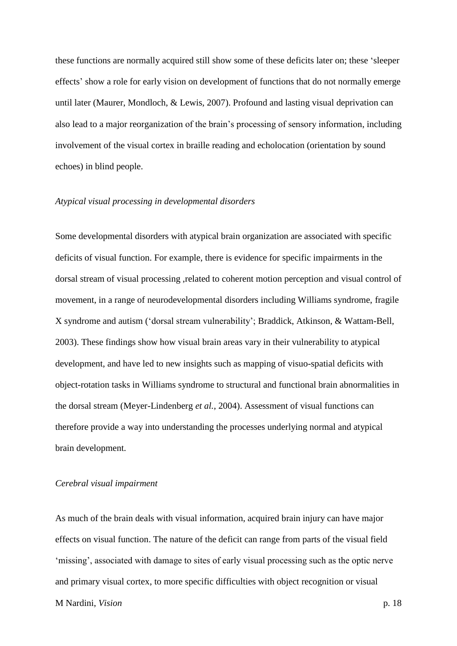these functions are normally acquired still show some of these deficits later on; these 'sleeper effects' show a role for early vision on development of functions that do not normally emerge until later (Maurer, Mondloch, & Lewis, 2007). Profound and lasting visual deprivation can also lead to a major reorganization of the brain's processing of sensory information, including involvement of the visual cortex in braille reading and echolocation (orientation by sound echoes) in blind people.

#### *Atypical visual processing in developmental disorders*

Some developmental disorders with atypical brain organization are associated with specific deficits of visual function. For example, there is evidence for specific impairments in the dorsal stream of visual processing ,related to coherent motion perception and visual control of movement, in a range of neurodevelopmental disorders including Williams syndrome, fragile X syndrome and autism ('dorsal stream vulnerability'; Braddick, Atkinson, & Wattam-Bell, 2003). These findings show how visual brain areas vary in their vulnerability to atypical development, and have led to new insights such as mapping of visuo-spatial deficits with object-rotation tasks in Williams syndrome to structural and functional brain abnormalities in the dorsal stream (Meyer-Lindenberg *et al.*, 2004). Assessment of visual functions can therefore provide a way into understanding the processes underlying normal and atypical brain development.

#### *Cerebral visual impairment*

As much of the brain deals with visual information, acquired brain injury can have major effects on visual function. The nature of the deficit can range from parts of the visual field 'missing', associated with damage to sites of early visual processing such as the optic nerve and primary visual cortex, to more specific difficulties with object recognition or visual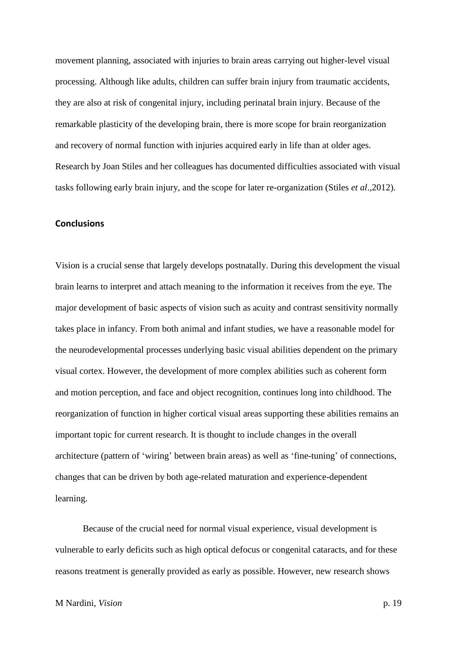movement planning, associated with injuries to brain areas carrying out higher-level visual processing. Although like adults, children can suffer brain injury from traumatic accidents, they are also at risk of congenital injury, including perinatal brain injury. Because of the remarkable plasticity of the developing brain, there is more scope for brain reorganization and recovery of normal function with injuries acquired early in life than at older ages. Research by Joan Stiles and her colleagues has documented difficulties associated with visual tasks following early brain injury, and the scope for later re-organization (Stiles *et al*.,2012).

# **Conclusions**

Vision is a crucial sense that largely develops postnatally. During this development the visual brain learns to interpret and attach meaning to the information it receives from the eye. The major development of basic aspects of vision such as acuity and contrast sensitivity normally takes place in infancy. From both animal and infant studies, we have a reasonable model for the neurodevelopmental processes underlying basic visual abilities dependent on the primary visual cortex. However, the development of more complex abilities such as coherent form and motion perception, and face and object recognition, continues long into childhood. The reorganization of function in higher cortical visual areas supporting these abilities remains an important topic for current research. It is thought to include changes in the overall architecture (pattern of 'wiring' between brain areas) as well as 'fine-tuning' of connections, changes that can be driven by both age-related maturation and experience-dependent learning.

Because of the crucial need for normal visual experience, visual development is vulnerable to early deficits such as high optical defocus or congenital cataracts, and for these reasons treatment is generally provided as early as possible. However, new research shows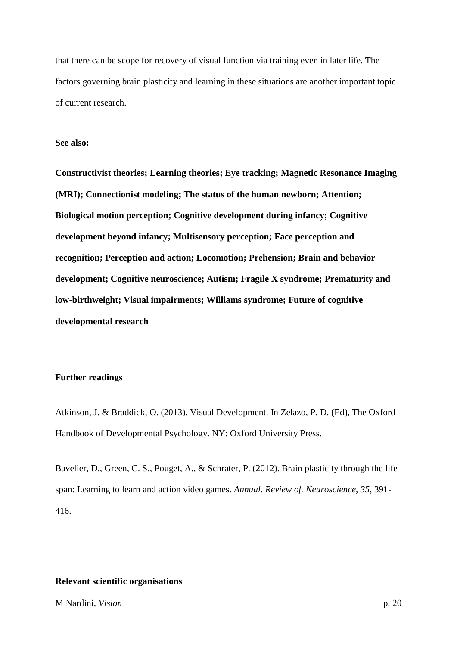that there can be scope for recovery of visual function via training even in later life. The factors governing brain plasticity and learning in these situations are another important topic of current research.

# **See also:**

**Constructivist theories; Learning theories; Eye tracking; Magnetic Resonance Imaging (MRI); Connectionist modeling; The status of the human newborn; Attention; Biological motion perception; Cognitive development during infancy; Cognitive development beyond infancy; Multisensory perception; Face perception and recognition; Perception and action; Locomotion; Prehension; Brain and behavior development; Cognitive neuroscience; Autism; Fragile X syndrome; Prematurity and low-birthweight; Visual impairments; Williams syndrome; Future of cognitive developmental research**

## **Further readings**

Atkinson, J. & Braddick, O. (2013). Visual Development. In Zelazo, P. D. (Ed), The Oxford Handbook of Developmental Psychology. NY: Oxford University Press.

Bavelier, D., Green, C. S., Pouget, A., & Schrater, P. (2012). Brain plasticity through the life span: Learning to learn and action video games. *Annual. Review of. Neuroscience*, *35*, 391- 416.

# **Relevant scientific organisations**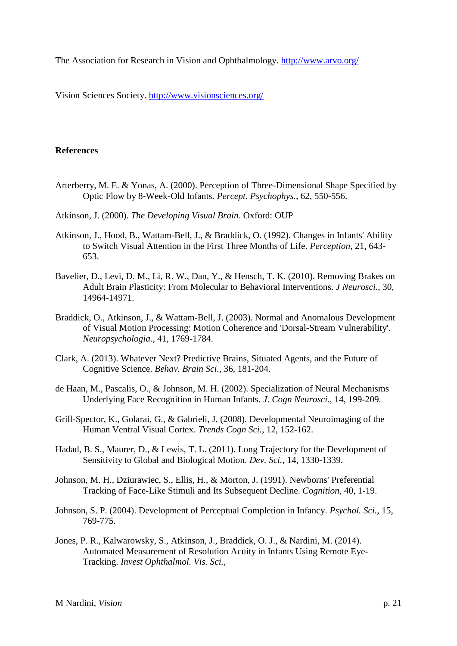The Association for Research in Vision and Ophthalmology.<http://www.arvo.org/>

Vision Sciences Society.<http://www.visionsciences.org/>

# **References**

- Arterberry, M. E. & Yonas, A. (2000). Perception of Three-Dimensional Shape Specified by Optic Flow by 8-Week-Old Infants. *Percept. Psychophys.*, 62, 550-556.
- Atkinson, J. (2000). *The Developing Visual Brain*. Oxford: OUP
- Atkinson, J., Hood, B., Wattam-Bell, J., & Braddick, O. (1992). Changes in Infants' Ability to Switch Visual Attention in the First Three Months of Life. *Perception*, 21, 643- 653.
- Bavelier, D., Levi, D. M., Li, R. W., Dan, Y., & Hensch, T. K. (2010). Removing Brakes on Adult Brain Plasticity: From Molecular to Behavioral Interventions. *J Neurosci.*, 30, 14964-14971.
- Braddick, O., Atkinson, J., & Wattam-Bell, J. (2003). Normal and Anomalous Development of Visual Motion Processing: Motion Coherence and 'Dorsal-Stream Vulnerability'. *Neuropsychologia.*, 41, 1769-1784.
- Clark, A. (2013). Whatever Next? Predictive Brains, Situated Agents, and the Future of Cognitive Science. *Behav. Brain Sci.*, 36, 181-204.
- de Haan, M., Pascalis, O., & Johnson, M. H. (2002). Specialization of Neural Mechanisms Underlying Face Recognition in Human Infants. *J. Cogn Neurosci.*, 14, 199-209.
- Grill-Spector, K., Golarai, G., & Gabrieli, J. (2008). Developmental Neuroimaging of the Human Ventral Visual Cortex. *Trends Cogn Sci.*, 12, 152-162.
- Hadad, B. S., Maurer, D., & Lewis, T. L. (2011). Long Trajectory for the Development of Sensitivity to Global and Biological Motion. *Dev. Sci.*, 14, 1330-1339.
- Johnson, M. H., Dziurawiec, S., Ellis, H., & Morton, J. (1991). Newborns' Preferential Tracking of Face-Like Stimuli and Its Subsequent Decline. *Cognition*, 40, 1-19.
- Johnson, S. P. (2004). Development of Perceptual Completion in Infancy. *Psychol. Sci.*, 15, 769-775.
- Jones, P. R., Kalwarowsky, S., Atkinson, J., Braddick, O. J., & Nardini, M. (2014). Automated Measurement of Resolution Acuity in Infants Using Remote Eye-Tracking. *Invest Ophthalmol. Vis. Sci.*,